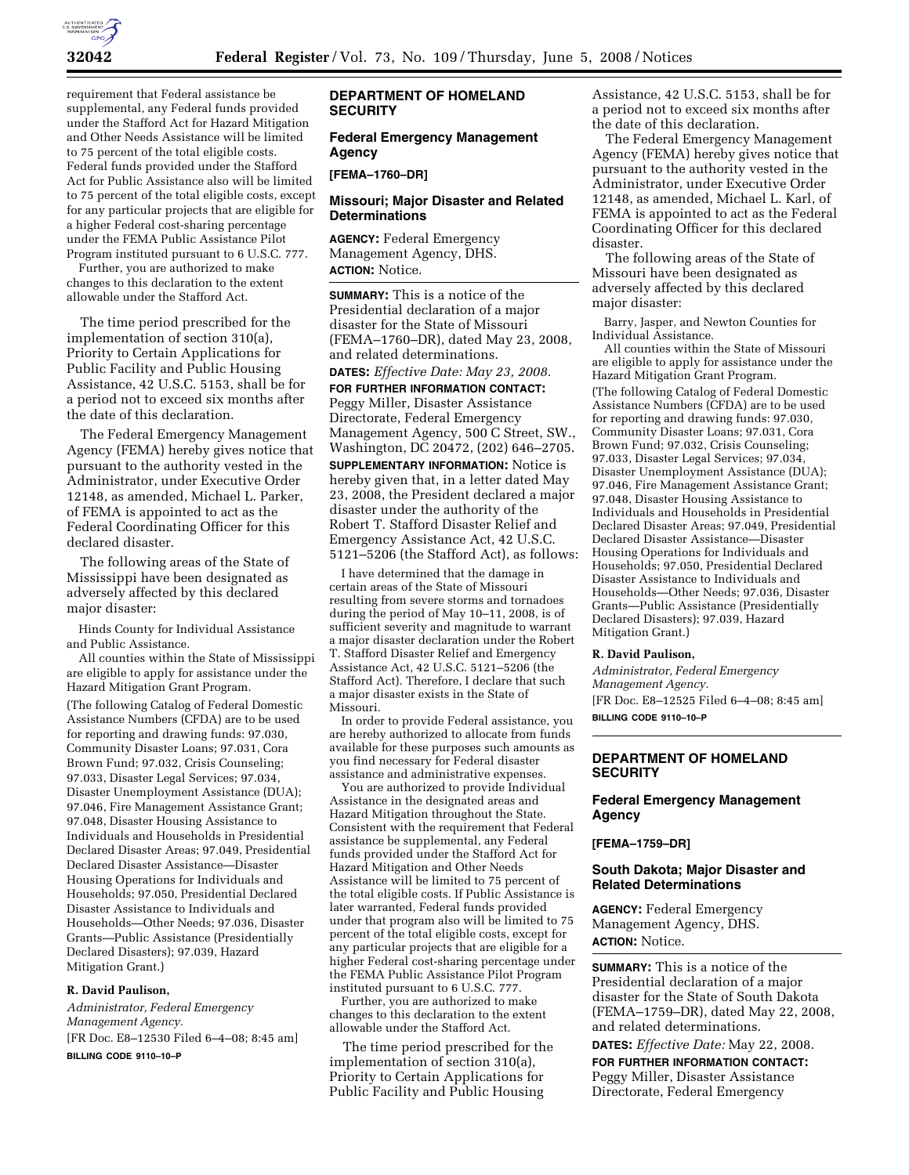

requirement that Federal assistance be supplemental, any Federal funds provided under the Stafford Act for Hazard Mitigation and Other Needs Assistance will be limited to 75 percent of the total eligible costs. Federal funds provided under the Stafford Act for Public Assistance also will be limited to 75 percent of the total eligible costs, except for any particular projects that are eligible for a higher Federal cost-sharing percentage under the FEMA Public Assistance Pilot Program instituted pursuant to 6 U.S.C. 777.

Further, you are authorized to make changes to this declaration to the extent allowable under the Stafford Act.

The time period prescribed for the implementation of section 310(a), Priority to Certain Applications for Public Facility and Public Housing Assistance, 42 U.S.C. 5153, shall be for a period not to exceed six months after the date of this declaration.

The Federal Emergency Management Agency (FEMA) hereby gives notice that pursuant to the authority vested in the Administrator, under Executive Order 12148, as amended, Michael L. Parker, of FEMA is appointed to act as the Federal Coordinating Officer for this declared disaster.

The following areas of the State of Mississippi have been designated as adversely affected by this declared major disaster:

Hinds County for Individual Assistance and Public Assistance.

All counties within the State of Mississippi are eligible to apply for assistance under the Hazard Mitigation Grant Program. (The following Catalog of Federal Domestic Assistance Numbers (CFDA) are to be used for reporting and drawing funds: 97.030, Community Disaster Loans; 97.031, Cora Brown Fund; 97.032, Crisis Counseling; 97.033, Disaster Legal Services; 97.034, Disaster Unemployment Assistance (DUA); 97.046, Fire Management Assistance Grant; 97.048, Disaster Housing Assistance to Individuals and Households in Presidential Declared Disaster Areas; 97.049, Presidential Declared Disaster Assistance—Disaster Housing Operations for Individuals and Households; 97.050, Presidential Declared Disaster Assistance to Individuals and Households—Other Needs; 97.036, Disaster Grants—Public Assistance (Presidentially Declared Disasters); 97.039, Hazard Mitigation Grant.)

### **R. David Paulison,**

*Administrator, Federal Emergency Management Agency.*  [FR Doc. E8–12530 Filed 6–4–08; 8:45 am] **BILLING CODE 9110–10–P** 

# **DEPARTMENT OF HOMELAND SECURITY**

# **Federal Emergency Management Agency**

#### **[FEMA–1760–DR]**

### **Missouri; Major Disaster and Related Determinations**

**AGENCY:** Federal Emergency Management Agency, DHS. **ACTION:** Notice.

**SUMMARY:** This is a notice of the Presidential declaration of a major disaster for the State of Missouri (FEMA–1760–DR), dated May 23, 2008, and related determinations.

**DATES:** *Effective Date: May 23, 2008.* 

**FOR FURTHER INFORMATION CONTACT:**  Peggy Miller, Disaster Assistance Directorate, Federal Emergency Management Agency, 500 C Street, SW., Washington, DC 20472, (202) 646–2705. **SUPPLEMENTARY INFORMATION:** Notice is hereby given that, in a letter dated May 23, 2008, the President declared a major disaster under the authority of the Robert T. Stafford Disaster Relief and Emergency Assistance Act, 42 U.S.C. 5121–5206 (the Stafford Act), as follows:

I have determined that the damage in certain areas of the State of Missouri resulting from severe storms and tornadoes during the period of May 10–11, 2008, is of sufficient severity and magnitude to warrant a major disaster declaration under the Robert T. Stafford Disaster Relief and Emergency Assistance Act, 42 U.S.C. 5121–5206 (the Stafford Act). Therefore, I declare that such a major disaster exists in the State of Missouri.

In order to provide Federal assistance, you are hereby authorized to allocate from funds available for these purposes such amounts as you find necessary for Federal disaster assistance and administrative expenses.

You are authorized to provide Individual Assistance in the designated areas and Hazard Mitigation throughout the State. Consistent with the requirement that Federal assistance be supplemental, any Federal funds provided under the Stafford Act for Hazard Mitigation and Other Needs Assistance will be limited to 75 percent of the total eligible costs. If Public Assistance is later warranted, Federal funds provided under that program also will be limited to 75 percent of the total eligible costs, except for any particular projects that are eligible for a higher Federal cost-sharing percentage under the FEMA Public Assistance Pilot Program instituted pursuant to 6 U.S.C. 777.

Further, you are authorized to make changes to this declaration to the extent allowable under the Stafford Act.

The time period prescribed for the implementation of section 310(a), Priority to Certain Applications for Public Facility and Public Housing

Assistance, 42 U.S.C. 5153, shall be for a period not to exceed six months after the date of this declaration.

The Federal Emergency Management Agency (FEMA) hereby gives notice that pursuant to the authority vested in the Administrator, under Executive Order 12148, as amended, Michael L. Karl, of FEMA is appointed to act as the Federal Coordinating Officer for this declared disaster.

The following areas of the State of Missouri have been designated as adversely affected by this declared major disaster:

Barry, Jasper, and Newton Counties for Individual Assistance.

All counties within the State of Missouri are eligible to apply for assistance under the Hazard Mitigation Grant Program. (The following Catalog of Federal Domestic Assistance Numbers (CFDA) are to be used for reporting and drawing funds: 97.030, Community Disaster Loans; 97.031, Cora Brown Fund; 97.032, Crisis Counseling; 97.033, Disaster Legal Services; 97.034, Disaster Unemployment Assistance (DUA); 97.046, Fire Management Assistance Grant; 97.048, Disaster Housing Assistance to Individuals and Households in Presidential Declared Disaster Areas; 97.049, Presidential Declared Disaster Assistance—Disaster Housing Operations for Individuals and Households; 97.050, Presidential Declared Disaster Assistance to Individuals and Households—Other Needs; 97.036, Disaster Grants—Public Assistance (Presidentially Declared Disasters); 97.039, Hazard Mitigation Grant.)

### **R. David Paulison,**

*Administrator, Federal Emergency Management Agency.*  [FR Doc. E8–12525 Filed 6–4–08; 8:45 am] **BILLING CODE 9110–10–P** 

# **DEPARTMENT OF HOMELAND SECURITY**

# **Federal Emergency Management Agency**

#### **[FEMA–1759–DR]**

# **South Dakota; Major Disaster and Related Determinations**

**AGENCY:** Federal Emergency Management Agency, DHS. **ACTION:** Notice.

**SUMMARY:** This is a notice of the Presidential declaration of a major disaster for the State of South Dakota (FEMA–1759–DR), dated May 22, 2008, and related determinations.

**DATES:** *Effective Date:* May 22, 2008.

**FOR FURTHER INFORMATION CONTACT:**  Peggy Miller, Disaster Assistance Directorate, Federal Emergency